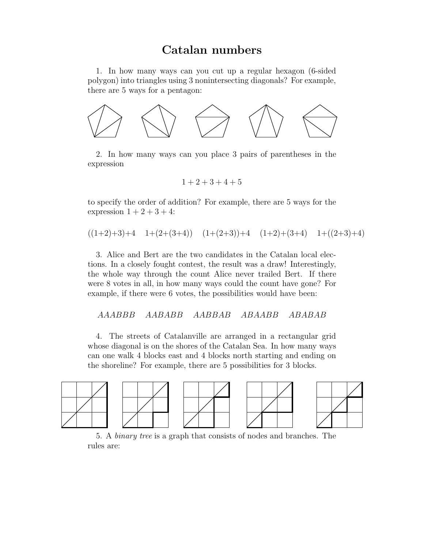# Catalan numbers

1. In how many ways can you cut up a regular hexagon (6-sided polygon) into triangles using 3 nonintersecting diagonals? For example, there are 5 ways for a pentagon:



2. In how many ways can you place 3 pairs of parentheses in the expression

$$
1+2+3+4+5
$$

to specify the order of addition? For example, there are 5 ways for the expression  $1+2+3+4$ :

$$
((1+2)+3)+4
$$
 1+(2+(3+4))  $(1+(2+3))+4$  (1+2)+(3+4) 1+((2+3)+4)

3. Alice and Bert are the two candidates in the Catalan local elections. In a closely fought contest, the result was a draw! Interestingly, the whole way through the count Alice never trailed Bert. If there were 8 votes in all, in how many ways could the count have gone? For example, if there were 6 votes, the possibilities would have been:

AAABBB AABABB AABBAB ABAABB ABABAB

4. The streets of Catalanville are arranged in a rectangular grid whose diagonal is on the shores of the Catalan Sea. In how many ways can one walk 4 blocks east and 4 blocks north starting and ending on the shoreline? For example, there are 5 possibilities for 3 blocks.



5. A binary tree is a graph that consists of nodes and branches. The rules are: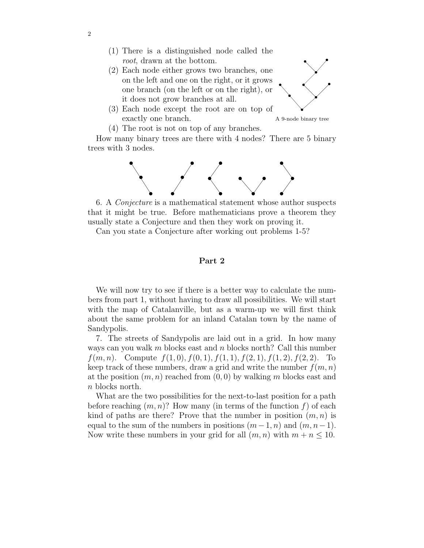- (1) There is a distinguished node called the root, drawn at the bottom.
- (2) Each node either grows two branches, one on the left and one on the right, or it grows one branch (on the left or on the right), or it does not grow branches at all.



(3) Each node except the root are on top of exactly one branch.



(4) The root is not on top of any branches.

How many binary trees are there with 4 nodes? There are 5 binary trees with 3 nodes.



6. A Conjecture is a mathematical statement whose author suspects that it might be true. Before mathematicians prove a theorem they usually state a Conjecture and then they work on proving it.

Can you state a Conjecture after working out problems 1-5?

#### Part 2

We will now try to see if there is a better way to calculate the numbers from part 1, without having to draw all possibilities. We will start with the map of Catalanville, but as a warm-up we will first think about the same problem for an inland Catalan town by the name of Sandypolis.

7. The streets of Sandypolis are laid out in a grid. In how many ways can you walk m blocks east and n blocks north? Call this number  $f(m, n)$ . Compute  $f(1, 0), f(0, 1), f(1, 1), f(2, 1), f(1, 2), f(2, 2)$ . To keep track of these numbers, draw a grid and write the number  $f(m, n)$ at the position  $(m, n)$  reached from  $(0, 0)$  by walking m blocks east and n blocks north.

What are the two possibilities for the next-to-last position for a path before reaching  $(m, n)$ ? How many (in terms of the function f) of each kind of paths are there? Prove that the number in position  $(m, n)$  is equal to the sum of the numbers in positions  $(m-1, n)$  and  $(m, n-1)$ . Now write these numbers in your grid for all  $(m, n)$  with  $m + n \leq 10$ .

2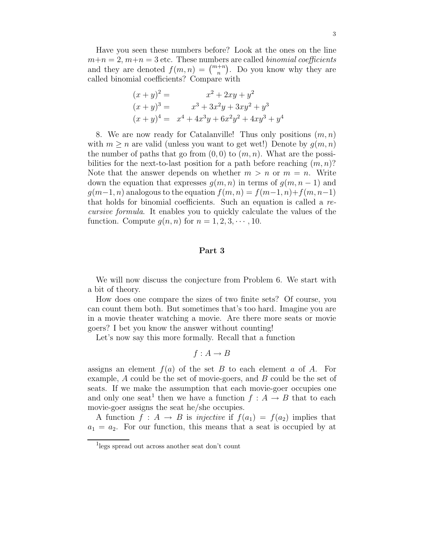Have you seen these numbers before? Look at the ones on the line  $m+n=2, m+n=3$  etc. These numbers are called *binomial coefficients* and they are denoted  $f(m, n) = \binom{m+n}{n}$ . Do you know why they are called binomial coefficients? Compare with

$$
(x + y)2 = x2 + 2xy + y2
$$
  
\n
$$
(x + y)3 = x3 + 3x2y + 3xy2 + y3
$$
  
\n
$$
(x + y)4 = x4 + 4x3y + 6x2y2 + 4xy3 + y4
$$

8. We are now ready for Catalanville! Thus only positions  $(m, n)$ with  $m \geq n$  are valid (unless you want to get wet!) Denote by  $g(m, n)$ the number of paths that go from  $(0, 0)$  to  $(m, n)$ . What are the possibilities for the next-to-last position for a path before reaching  $(m, n)$ ? Note that the answer depends on whether  $m > n$  or  $m = n$ . Write down the equation that expresses  $g(m, n)$  in terms of  $g(m, n-1)$  and  $g(m-1, n)$  analogous to the equation  $f(m, n) = f(m-1, n) + f(m, n-1)$ that holds for binomial coefficients. Such an equation is called a recursive formula. It enables you to quickly calculate the values of the function. Compute  $q(n, n)$  for  $n = 1, 2, 3, \dots, 10$ .

### Part 3

We will now discuss the conjecture from Problem 6. We start with a bit of theory.

How does one compare the sizes of two finite sets? Of course, you can count them both. But sometimes that's too hard. Imagine you are in a movie theater watching a movie. Are there more seats or movie goers? I bet you know the answer without counting!

Let's now say this more formally. Recall that a function

$$
f: A \to B
$$

assigns an element  $f(a)$  of the set B to each element a of A. For example, A could be the set of movie-goers, and B could be the set of seats. If we make the assumption that each movie-goer occupies one and only one seat<sup>1</sup> then we have a function  $f : A \to B$  that to each movie-goer assigns the seat he/she occupies.

A function  $f : A \to B$  is *injective* if  $f(a_1) = f(a_2)$  implies that  $a_1 = a_2$ . For our function, this means that a seat is occupied by at

<sup>1</sup> legs spread out across another seat don't count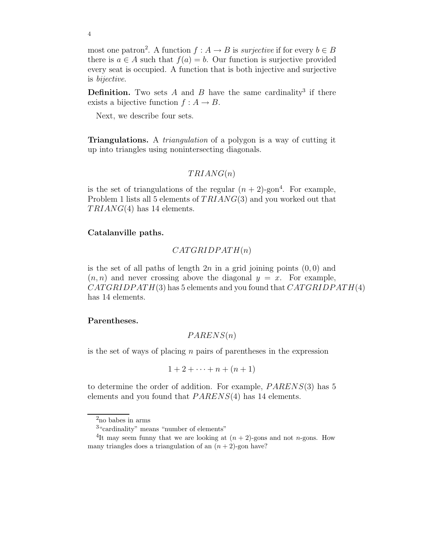most one patron<sup>2</sup>. A function  $f : A \to B$  is *surjective* if for every  $b \in B$ there is  $a \in A$  such that  $f(a) = b$ . Our function is surjective provided every seat is occupied. A function that is both injective and surjective is bijective.

**Definition.** Two sets  $A$  and  $B$  have the same cardinality<sup>3</sup> if there exists a bijective function  $f : A \rightarrow B$ .

Next, we describe four sets.

**Triangulations.** A *triangulation* of a polygon is a way of cutting it up into triangles using nonintersecting diagonals.

# $TRIANG(n)$

is the set of triangulations of the regular  $(n + 2)$ -gon<sup>4</sup>. For example, Problem 1 lists all 5 elements of TRIANG(3) and you worked out that  $TRIANG(4)$  has 14 elements.

## Catalanville paths.

$$
CATGRIDPATH(n)
$$

is the set of all paths of length  $2n$  in a grid joining points  $(0, 0)$  and  $(n, n)$  and never crossing above the diagonal  $y = x$ . For example,  $CATGRIDPATH(3)$  has 5 elements and you found that  $CATGRIDPATH(4)$ has 14 elements.

#### Parentheses.

$$
PARENS(n)
$$

is the set of ways of placing  $n$  pairs of parentheses in the expression

$$
1+2+\cdots+n+(n+1)
$$

to determine the order of addition. For example, PARENS(3) has 5 elements and you found that PARENS(4) has 14 elements.

4

 $^{2}$ no babes in arms

<sup>3</sup> "cardinality" means "number of elements"

<sup>&</sup>lt;sup>4</sup>It may seem funny that we are looking at  $(n + 2)$ -gons and not *n*-gons. How many triangles does a triangulation of an  $(n + 2)$ -gon have?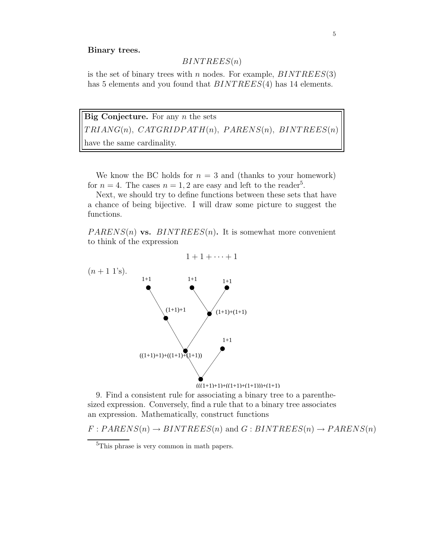#### Binary trees.

## $BINTERES(n)$

is the set of binary trees with n nodes. For example,  $BINTREES(3)$ has 5 elements and you found that  $BINTREES(4)$  has 14 elements.

Big Conjecture. For any  $n$  the sets  $TRIANG(n)$ ,  $CATGRIDPATH(n)$ ,  $PARENS(n)$ ,  $BINTREES(n)$ have the same cardinality.

We know the BC holds for  $n = 3$  and (thanks to your homework) for  $n = 4$ . The cases  $n = 1, 2$  are easy and left to the reader<sup>5</sup>.

Next, we should try to define functions between these sets that have a chance of being bijective. I will draw some picture to suggest the functions.

 $PARENS(n)$  vs.  $BINTREES(n)$ . It is somewhat more convenient to think of the expression

$$
1+1+\cdots+1
$$



9. Find a consistent rule for associating a binary tree to a parenthesized expression. Conversely, find a rule that to a binary tree associates an expression. Mathematically, construct functions

 $F: PARENS(n) \rightarrow BINTER(S(n)$  and  $G: BINTERES(n) \rightarrow PARENS(n)$ 

<sup>&</sup>lt;sup>5</sup>This phrase is very common in math papers.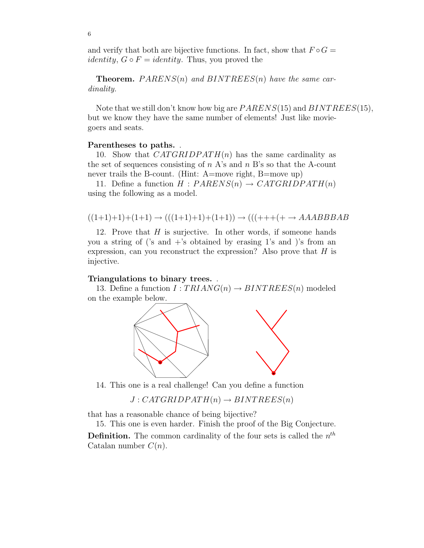and verify that both are bijective functions. In fact, show that  $F \circ G =$ *identity*,  $G \circ F = identity$ . Thus, you proved the

**Theorem.**  $PARENS(n)$  and  $BINTERES(n)$  have the same cardinality.

Note that we still don't know how big are  $PARENS(15)$  and  $BINTREES(15)$ , but we know they have the same number of elements! Just like moviegoers and seats.

#### Parentheses to paths. .

10. Show that  $CATGRIDPATH(n)$  has the same cardinality as the set of sequences consisting of  $n \Lambda$ 's and  $n \Lambda$ 's so that the A-count never trails the B-count. (Hint: A=move right, B=move up)

11. Define a function  $H : PARENS(n) \rightarrow CATGRIDPATH(n)$ using the following as a model.

$$
((1+1)+1)+(1+1) \rightarrow (((1+1)+1)+(1+1)) \rightarrow (((+++ + \rightarrow AAABBBAB
$$

12. Prove that H is surjective. In other words, if someone hands you a string of ('s and  $+$ 's obtained by erasing 1's and )'s from an expression, can you reconstruct the expression? Also prove that  $H$  is injective.

#### Triangulations to binary trees. .

13. Define a function  $I:TRIANG(n) \rightarrow BINTREES(n)$  modeled on the example below.



14. This one is a real challenge! Can you define a function

 $J: CATGRIDPATH(n) \rightarrow BINTREES(n)$ 

that has a reasonable chance of being bijective?

15. This one is even harder. Finish the proof of the Big Conjecture. **Definition.** The common cardinality of the four sets is called the  $n^{th}$ Catalan number  $C(n)$ .

6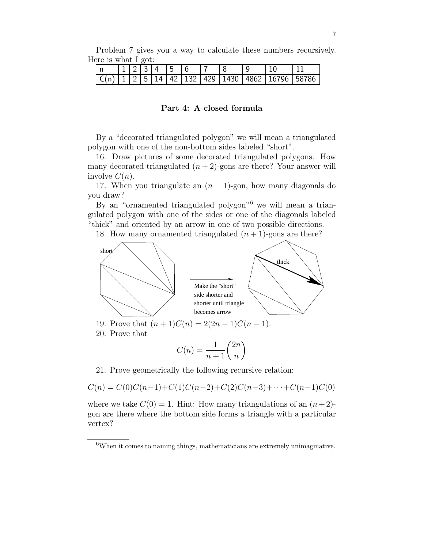| Problem 7 gives you a way to calculate these numbers recursively. |  |  |  |  |  |
|-------------------------------------------------------------------|--|--|--|--|--|
| Here is what I got:                                               |  |  |  |  |  |

|  |  | 123456 |  |  |  |                                                  |
|--|--|--------|--|--|--|--------------------------------------------------|
|  |  |        |  |  |  | $C(n)$ 1 2 5 14 42 132 429 1430 4862 16796 58786 |

#### Part 4: A closed formula

By a "decorated triangulated polygon" we will mean a triangulated polygon with one of the non-bottom sides labeled "short".

16. Draw pictures of some decorated triangulated polygons. How many decorated triangulated  $(n+2)$ -gons are there? Your answer will involve  $C(n)$ .

17. When you triangulate an  $(n + 1)$ -gon, how many diagonals do you draw?

By an "ornamented triangulated polygon"<sup>6</sup> we will mean a triangulated polygon with one of the sides or one of the diagonals labeled "thick" and oriented by an arrow in one of two possible directions.

18. How many ornamented triangulated  $(n + 1)$ -gons are there?



19. Prove that  $(n+1)C(n) = 2(2n-1)C(n-1)$ . 20. Prove that

$$
C(n) = \frac{1}{n+1} \binom{2n}{n}
$$

 $\setminus$ 

21. Prove geometrically the following recursive relation:

$$
C(n) = C(0)C(n-1) + C(1)C(n-2) + C(2)C(n-3) + \cdots + C(n-1)C(0)
$$

where we take  $C(0) = 1$ . Hint: How many triangulations of an  $(n+2)$ gon are there where the bottom side forms a triangle with a particular vertex?

 $6$ When it comes to naming things, mathematicians are extremely unimaginative.